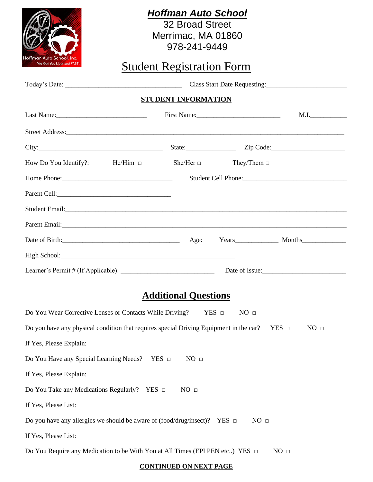| Hoffman Auto School, Inc.                                                                                                                                                                                                      |  | <b>Hoffman Auto School</b><br><b>32 Broad Street</b><br>Merrimac, MA 01860<br>978-241-9449 |                  |      |
|--------------------------------------------------------------------------------------------------------------------------------------------------------------------------------------------------------------------------------|--|--------------------------------------------------------------------------------------------|------------------|------|
| We Get You Licensed FAST!!<br><b>Student Registration Form</b>                                                                                                                                                                 |  |                                                                                            |                  |      |
|                                                                                                                                                                                                                                |  |                                                                                            |                  |      |
| <b>STUDENT INFORMATION</b>                                                                                                                                                                                                     |  |                                                                                            |                  |      |
|                                                                                                                                                                                                                                |  |                                                                                            | First Name:      | M.I. |
| Street Address: Note and the set of the set of the set of the set of the set of the set of the set of the set of the set of the set of the set of the set of the set of the set of the set of the set of the set of the set of |  |                                                                                            |                  |      |
|                                                                                                                                                                                                                                |  |                                                                                            |                  |      |
| How Do You Identify?: He/Him $\Box$ She/Her $\Box$                                                                                                                                                                             |  |                                                                                            | They/Them $\Box$ |      |
|                                                                                                                                                                                                                                |  |                                                                                            |                  |      |
|                                                                                                                                                                                                                                |  |                                                                                            |                  |      |
|                                                                                                                                                                                                                                |  |                                                                                            |                  |      |
|                                                                                                                                                                                                                                |  |                                                                                            |                  |      |
| Date of Birth: Months Music Age: Months Months Months Music Age: Months Music Age: Months Music Age: Months Music Age: Months Music Age: Months Music Age: Months Music Age: Music Age: Music Age: Music Age: Music Age: Music |  |                                                                                            |                  |      |
|                                                                                                                                                                                                                                |  |                                                                                            |                  |      |
|                                                                                                                                                                                                                                |  |                                                                                            |                  |      |
| <b>Additional Questions</b>                                                                                                                                                                                                    |  |                                                                                            |                  |      |
| Do You Wear Corrective Lenses or Contacts While Driving?<br>$YES$ $\square$<br>NO <sub>□</sub>                                                                                                                                 |  |                                                                                            |                  |      |
| Do you have any physical condition that requires special Driving Equipment in the car?<br>YES <b>D</b><br>NO <sub>□</sub>                                                                                                      |  |                                                                                            |                  |      |
| If Yes, Please Explain:                                                                                                                                                                                                        |  |                                                                                            |                  |      |
| Do You Have any Special Learning Needs? YES □<br>NO <sub>□</sub>                                                                                                                                                               |  |                                                                                            |                  |      |
| If Yes, Please Explain:                                                                                                                                                                                                        |  |                                                                                            |                  |      |
| Do You Take any Medications Regularly? YES $\Box$<br>NO <sub>□</sub>                                                                                                                                                           |  |                                                                                            |                  |      |
| If Yes, Please List:                                                                                                                                                                                                           |  |                                                                                            |                  |      |
| Do you have any allergies we should be aware of (food/drug/insect)? YES $\Box$<br>NO <sub>□</sub>                                                                                                                              |  |                                                                                            |                  |      |
| If Yes, Please List:                                                                                                                                                                                                           |  |                                                                                            |                  |      |
| Do You Require any Medication to be With You at All Times (EPI PEN etc) YES □<br>NO <sub>□</sub>                                                                                                                               |  |                                                                                            |                  |      |

## **CONTINUED ON NEXT PAGE**